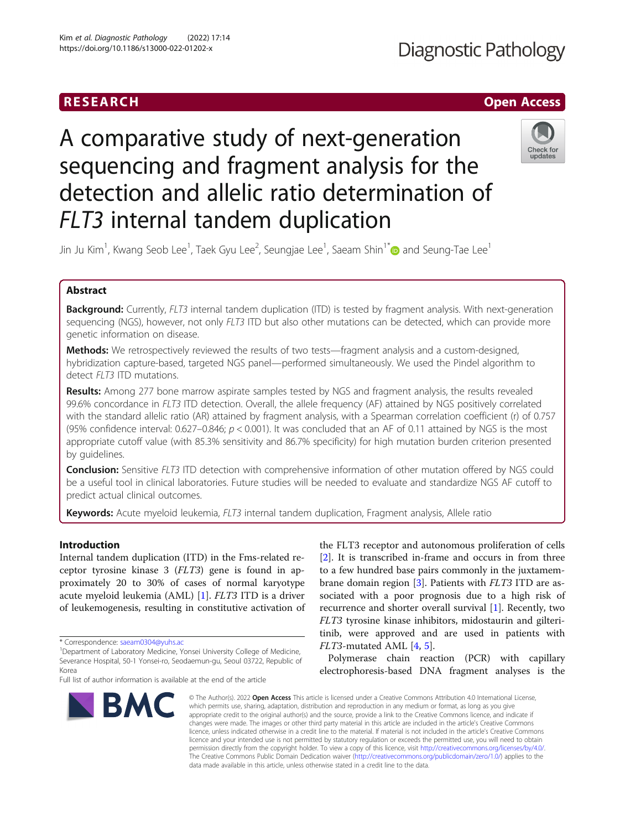# **RESEARCH CHINESEARCH CHINESEARCH CHINESEARCH**

# **Diagnostic Pathology**

# A comparative study of next-generation sequencing and fragment analysis for the detection and allelic ratio determination of FLT3 internal tandem duplication



Jin Ju Kim $^1$ , Kwang Seob Lee $^1$ , Taek Gyu Lee $^2$ , Seungjae Lee $^1$ , Saeam Shin $^{1^\ast}$  $\textcircled{\;}$  and Seung-Tae Lee $^1$ 

# Abstract

Background: Currently, FLT3 internal tandem duplication (ITD) is tested by fragment analysis. With next-generation sequencing (NGS), however, not only FLT3 ITD but also other mutations can be detected, which can provide more genetic information on disease.

Methods: We retrospectively reviewed the results of two tests—fragment analysis and a custom-designed, hybridization capture-based, targeted NGS panel—performed simultaneously. We used the Pindel algorithm to detect FLT3 ITD mutations.

**Results:** Among 277 bone marrow aspirate samples tested by NGS and fragment analysis, the results revealed 99.6% concordance in FLT3 ITD detection. Overall, the allele frequency (AF) attained by NGS positively correlated with the standard allelic ratio (AR) attained by fragment analysis, with a Spearman correlation coefficient (r) of 0.757 (95% confidence interval: 0.627–0.846;  $p < 0.001$ ). It was concluded that an AF of 0.11 attained by NGS is the most appropriate cutoff value (with 85.3% sensitivity and 86.7% specificity) for high mutation burden criterion presented by guidelines.

**Conclusion:** Sensitive FLT3 ITD detection with comprehensive information of other mutation offered by NGS could be a useful tool in clinical laboratories. Future studies will be needed to evaluate and standardize NGS AF cutoff to predict actual clinical outcomes.

Keywords: Acute myeloid leukemia, FLT3 internal tandem duplication, Fragment analysis, Allele ratio

# Introduction

Internal tandem duplication (ITD) in the Fms-related receptor tyrosine kinase 3 (FLT3) gene is found in approximately 20 to 30% of cases of normal karyotype acute myeloid leukemia (AML) [\[1](#page-6-0)]. FLT3 ITD is a driver of leukemogenesis, resulting in constitutive activation of

<sup>1</sup>Department of Laboratory Medicine, Yonsei University College of Medicine, Severance Hospital, 50-1 Yonsei-ro, Seodaemun-gu, Seoul 03722, Republic of Korea

Full list of author information is available at the end of the article



the FLT3 receptor and autonomous proliferation of cells [[2\]](#page-6-0). It is transcribed in-frame and occurs in from three to a few hundred base pairs commonly in the juxtamembrane domain region  $[3]$  $[3]$ . Patients with *FLT3* ITD are associated with a poor prognosis due to a high risk of recurrence and shorter overall survival [\[1\]](#page-6-0). Recently, two FLT3 tyrosine kinase inhibitors, midostaurin and gilteritinib, were approved and are used in patients with FLT3-mutated AML [\[4](#page-6-0), [5](#page-6-0)].

Polymerase chain reaction (PCR) with capillary electrophoresis-based DNA fragment analyses is the

© The Author(s), 2022 **Open Access** This article is licensed under a Creative Commons Attribution 4.0 International License, which permits use, sharing, adaptation, distribution and reproduction in any medium or format, as long as you give appropriate credit to the original author(s) and the source, provide a link to the Creative Commons licence, and indicate if changes were made. The images or other third party material in this article are included in the article's Creative Commons licence, unless indicated otherwise in a credit line to the material. If material is not included in the article's Creative Commons licence and your intended use is not permitted by statutory regulation or exceeds the permitted use, you will need to obtain permission directly from the copyright holder. To view a copy of this licence, visit [http://creativecommons.org/licenses/by/4.0/.](http://creativecommons.org/licenses/by/4.0/) The Creative Commons Public Domain Dedication waiver [\(http://creativecommons.org/publicdomain/zero/1.0/](http://creativecommons.org/publicdomain/zero/1.0/)) applies to the data made available in this article, unless otherwise stated in a credit line to the data.

<sup>\*</sup> Correspondence: [saeam0304@yuhs.ac](mailto:saeam0304@yuhs.ac) <sup>1</sup>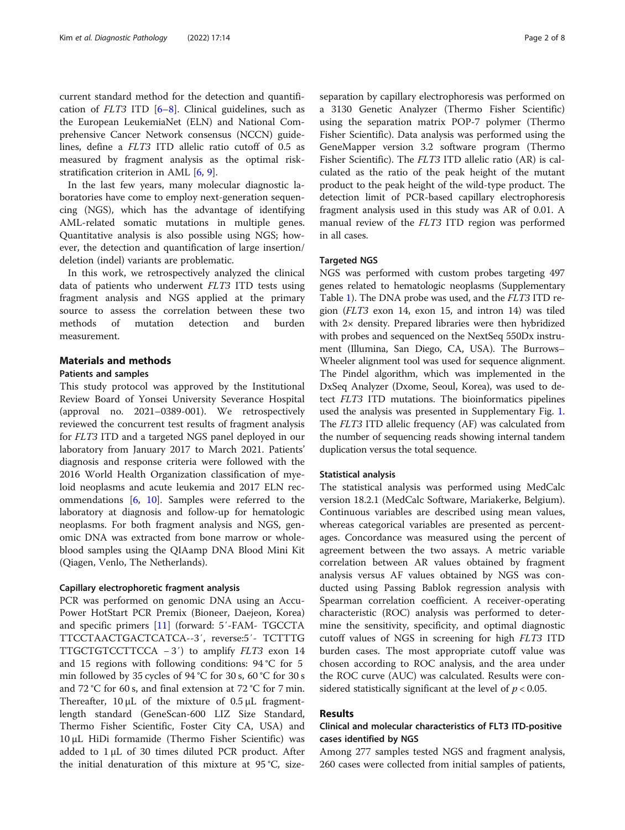current standard method for the detection and quantification of  $FLT3$  ITD  $[6–8]$  $[6–8]$  $[6–8]$  $[6–8]$ . Clinical guidelines, such as the European LeukemiaNet (ELN) and National Comprehensive Cancer Network consensus (NCCN) guidelines, define a FLT3 ITD allelic ratio cutoff of 0.5 as measured by fragment analysis as the optimal riskstratification criterion in AML [\[6](#page-6-0), [9](#page-6-0)].

In the last few years, many molecular diagnostic laboratories have come to employ next-generation sequencing (NGS), which has the advantage of identifying AML-related somatic mutations in multiple genes. Quantitative analysis is also possible using NGS; however, the detection and quantification of large insertion/ deletion (indel) variants are problematic.

In this work, we retrospectively analyzed the clinical data of patients who underwent FLT3 ITD tests using fragment analysis and NGS applied at the primary source to assess the correlation between these two methods of mutation detection and burden measurement.

# Materials and methods

# Patients and samples

This study protocol was approved by the Institutional Review Board of Yonsei University Severance Hospital (approval no. 2021–0389-001). We retrospectively reviewed the concurrent test results of fragment analysis for FLT3 ITD and a targeted NGS panel deployed in our laboratory from January 2017 to March 2021. Patients' diagnosis and response criteria were followed with the 2016 World Health Organization classification of myeloid neoplasms and acute leukemia and 2017 ELN recommendations [[6,](#page-6-0) [10](#page-6-0)]. Samples were referred to the laboratory at diagnosis and follow-up for hematologic neoplasms. For both fragment analysis and NGS, genomic DNA was extracted from bone marrow or wholeblood samples using the QIAamp DNA Blood Mini Kit (Qiagen, Venlo, The Netherlands).

### Capillary electrophoretic fragment analysis

PCR was performed on genomic DNA using an Accu-Power HotStart PCR Premix (Bioneer, Daejeon, Korea) and specific primers [[11\]](#page-6-0) (forward: 5′-FAM- TGCCTA TTCCTAACTGACTCATCA--3′, reverse:5′- TCTTTG TTGCTGTCCTTCCA − 3′) to amplify FLT3 exon 14 and 15 regions with following conditions: 94 °C for 5 min followed by 35 cycles of 94 °C for 30 s, 60 °C for 30 s and 72 °C for 60 s, and final extension at 72 °C for 7 min. Thereafter, 10 μL of the mixture of 0.5 μL fragmentlength standard (GeneScan-600 LIZ Size Standard, Thermo Fisher Scientific, Foster City CA, USA) and 10 μL HiDi formamide (Thermo Fisher Scientific) was added to  $1 \mu$ L of 30 times diluted PCR product. After the initial denaturation of this mixture at 95 °C, sizeseparation by capillary electrophoresis was performed on a 3130 Genetic Analyzer (Thermo Fisher Scientific) using the separation matrix POP-7 polymer (Thermo Fisher Scientific). Data analysis was performed using the GeneMapper version 3.2 software program (Thermo Fisher Scientific). The FLT3 ITD allelic ratio (AR) is calculated as the ratio of the peak height of the mutant product to the peak height of the wild-type product. The detection limit of PCR-based capillary electrophoresis fragment analysis used in this study was AR of 0.01. A manual review of the FLT3 ITD region was performed in all cases.

# **Targeted NGS**

NGS was performed with custom probes targeting 497 genes related to hematologic neoplasms (Supplementary Table [1\)](#page-5-0). The DNA probe was used, and the FLT3 ITD region (FLT3 exon 14, exon 15, and intron 14) was tiled with 2× density. Prepared libraries were then hybridized with probes and sequenced on the NextSeq 550Dx instrument (Illumina, San Diego, CA, USA). The Burrows– Wheeler alignment tool was used for sequence alignment. The Pindel algorithm, which was implemented in the DxSeq Analyzer (Dxome, Seoul, Korea), was used to detect FLT3 ITD mutations. The bioinformatics pipelines used the analysis was presented in Supplementary Fig. [1](#page-5-0). The FLT3 ITD allelic frequency (AF) was calculated from the number of sequencing reads showing internal tandem duplication versus the total sequence.

# Statistical analysis

The statistical analysis was performed using MedCalc version 18.2.1 (MedCalc Software, Mariakerke, Belgium). Continuous variables are described using mean values, whereas categorical variables are presented as percentages. Concordance was measured using the percent of agreement between the two assays. A metric variable correlation between AR values obtained by fragment analysis versus AF values obtained by NGS was conducted using Passing Bablok regression analysis with Spearman correlation coefficient. A receiver-operating characteristic (ROC) analysis was performed to determine the sensitivity, specificity, and optimal diagnostic cutoff values of NGS in screening for high FLT3 ITD burden cases. The most appropriate cutoff value was chosen according to ROC analysis, and the area under the ROC curve (AUC) was calculated. Results were considered statistically significant at the level of  $p < 0.05$ .

# Results

# Clinical and molecular characteristics of FLT3 ITD-positive cases identified by NGS

Among 277 samples tested NGS and fragment analysis, 260 cases were collected from initial samples of patients,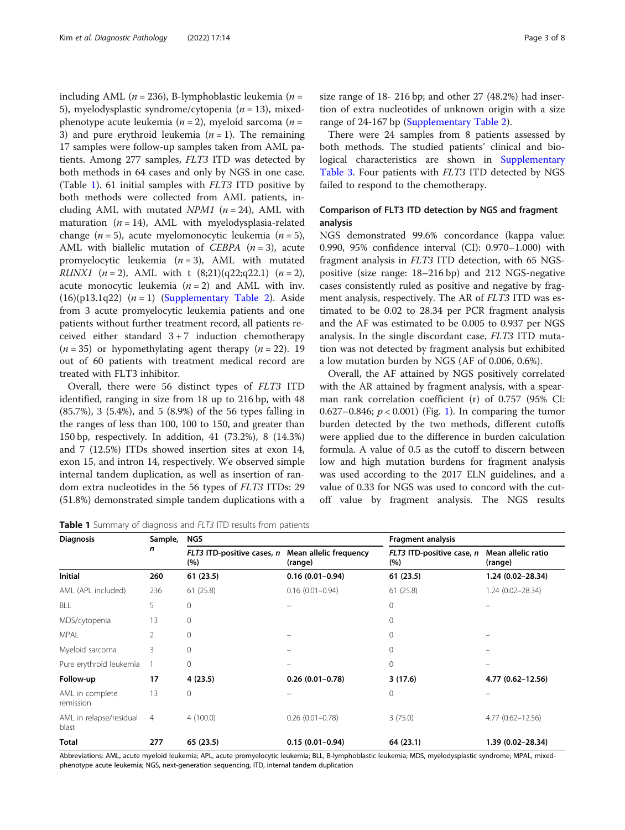including AML ( $n = 236$ ), B-lymphoblastic leukemia ( $n =$ 5), myelodysplastic syndrome/cytopenia ( $n = 13$ ), mixedphenotype acute leukemia ( $n = 2$ ), myeloid sarcoma ( $n =$ 3) and pure erythroid leukemia  $(n = 1)$ . The remaining 17 samples were follow-up samples taken from AML patients. Among 277 samples, FLT3 ITD was detected by both methods in 64 cases and only by NGS in one case. (Table 1). 61 initial samples with FLT3 ITD positive by both methods were collected from AML patients, including AML with mutated  $NPM1$  ( $n = 24$ ), AML with maturation  $(n = 14)$ , AML with myelodysplasia-related change ( $n = 5$ ), acute myelomonocytic leukemia ( $n = 5$ ), AML with biallelic mutation of CEBPA  $(n = 3)$ , acute promyelocytic leukemia  $(n = 3)$ , AML with mutated *RUNX1* (*n* = 2), AML with t  $(8;21)(q22;q22.1)$  (*n* = 2), acute monocytic leukemia  $(n = 2)$  and AML with inv.  $(16)(p13.1q22)$   $(n = 1)$  ([Supplementary Table 2\)](#page-5-0). Aside from 3 acute promyelocytic leukemia patients and one patients without further treatment record, all patients received either standard  $3 + 7$  induction chemotherapy  $(n = 35)$  or hypomethylating agent therapy  $(n = 22)$ . 19 out of 60 patients with treatment medical record are treated with FLT3 inhibitor.

Overall, there were 56 distinct types of FLT3 ITD identified, ranging in size from 18 up to 216 bp, with 48 (85.7%), 3 (5.4%), and 5 (8.9%) of the 56 types falling in the ranges of less than 100, 100 to 150, and greater than 150 bp, respectively. In addition, 41 (73.2%), 8 (14.3%) and 7 (12.5%) ITDs showed insertion sites at exon 14, exon 15, and intron 14, respectively. We observed simple internal tandem duplication, as well as insertion of random extra nucleotides in the 56 types of FLT3 ITDs: 29 (51.8%) demonstrated simple tandem duplications with a

Table 1 Summary of diagnosis and FLT3 ITD results from patients

size range of 18- 216 bp; and other 27 (48.2%) had insertion of extra nucleotides of unknown origin with a size range of 24-167 bp ([Supplementary Table 2\)](#page-5-0).

There were 24 samples from 8 patients assessed by both methods. The studied patients' clinical and bio-logical characteristics are shown in [Supplementary](#page-5-0) [Table 3](#page-5-0). Four patients with FLT3 ITD detected by NGS failed to respond to the chemotherapy.

# Comparison of FLT3 ITD detection by NGS and fragment analysis

NGS demonstrated 99.6% concordance (kappa value: 0.990, 95% confidence interval (CI): 0.970–1.000) with fragment analysis in FLT3 ITD detection, with 65 NGSpositive (size range: 18–216 bp) and 212 NGS-negative cases consistently ruled as positive and negative by fragment analysis, respectively. The AR of FLT3 ITD was estimated to be 0.02 to 28.34 per PCR fragment analysis and the AF was estimated to be 0.005 to 0.937 per NGS analysis. In the single discordant case, FLT3 ITD mutation was not detected by fragment analysis but exhibited a low mutation burden by NGS (AF of 0.006, 0.6%).

Overall, the AF attained by NGS positively correlated with the AR attained by fragment analysis, with a spearman rank correlation coefficient (r) of 0.757 (95% CI: 0.627–0.846;  $p < 0.001$ ) (Fig. [1\)](#page-3-0). In comparing the tumor burden detected by the two methods, different cutoffs were applied due to the difference in burden calculation formula. A value of 0.5 as the cutoff to discern between low and high mutation burdens for fragment analysis was used according to the 2017 ELN guidelines, and a value of 0.33 for NGS was used to concord with the cutoff value by fragment analysis. The NGS results

| <b>Diagnosis</b>                 | Sample,<br>n   | <b>NGS</b>                        |                                   | <b>Fragment analysis</b>         |                               |
|----------------------------------|----------------|-----------------------------------|-----------------------------------|----------------------------------|-------------------------------|
|                                  |                | FLT3 ITD-positive cases, n<br>(%) | Mean allelic frequency<br>(range) | FLT3 ITD-positive case, n<br>(%) | Mean allelic ratio<br>(range) |
| Initial                          | 260            | 61 (23.5)                         | $0.16(0.01 - 0.94)$               | 61(23.5)                         | 1.24 (0.02-28.34)             |
| AML (APL included)               | 236            | 61(25.8)                          | $0.16(0.01 - 0.94)$               | 61(25.8)                         | $1.24(0.02 - 28.34)$          |
| BLL                              | 5              | 0                                 |                                   | 0                                |                               |
| MDS/cytopenia                    | 13             | 0                                 |                                   | $\Omega$                         |                               |
| <b>MPAL</b>                      | 2              | $\mathbf{0}$                      |                                   | 0                                |                               |
| Myeloid sarcoma                  | 3              | $\Omega$                          |                                   | $\Omega$                         |                               |
| Pure erythroid leukemia          |                | $\mathbf{0}$                      |                                   | 0                                |                               |
| Follow-up                        | 17             | 4 (23.5)                          | $0.26(0.01 - 0.78)$               | 3(17.6)                          | 4.77 (0.62-12.56)             |
| AML in complete<br>remission     | 13             | $\Omega$                          |                                   | 0                                |                               |
| AML in relapse/residual<br>blast | $\overline{4}$ | 4(100.0)                          | $0.26(0.01 - 0.78)$               | 3(75.0)                          | 4.77 (0.62-12.56)             |
| Total                            | 277            | 65 (23.5)                         | $0.15(0.01 - 0.94)$               | 64 (23.1)                        | 1.39 (0.02-28.34)             |

Abbreviations: AML, acute myeloid leukemia; APL, acute promyelocytic leukemia; BLL, B-lymphoblastic leukemia; MDS, myelodysplastic syndrome; MPAL, mixedphenotype acute leukemia; NGS, next-generation sequencing, ITD, internal tandem duplication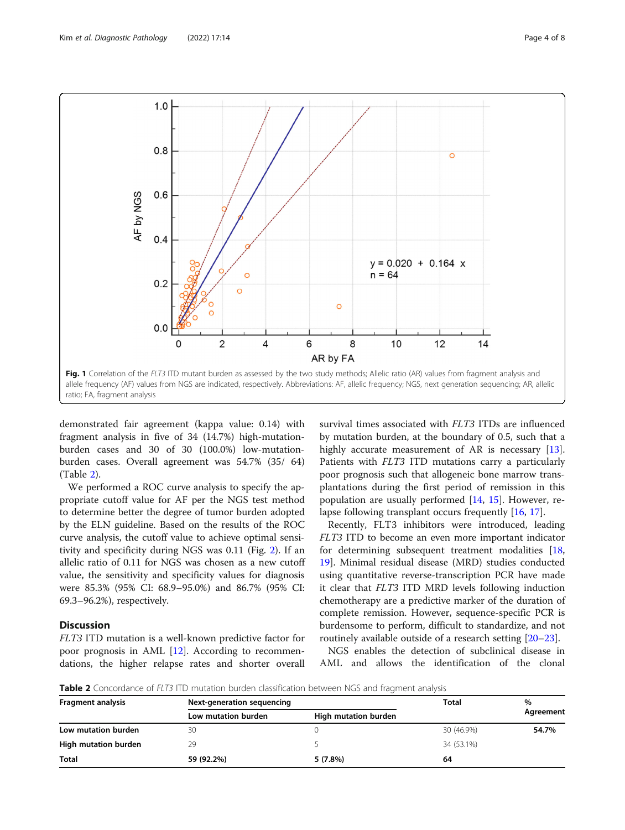<span id="page-3-0"></span>

demonstrated fair agreement (kappa value: 0.14) with fragment analysis in five of 34 (14.7%) high-mutationburden cases and 30 of 30 (100.0%) low-mutationburden cases. Overall agreement was 54.7% (35/ 64) (Table 2).

We performed a ROC curve analysis to specify the appropriate cutoff value for AF per the NGS test method to determine better the degree of tumor burden adopted by the ELN guideline. Based on the results of the ROC curve analysis, the cutoff value to achieve optimal sensitivity and specificity during NGS was 0.11 (Fig. [2](#page-4-0)). If an allelic ratio of 0.11 for NGS was chosen as a new cutoff value, the sensitivity and specificity values for diagnosis were 85.3% (95% CI: 68.9–95.0%) and 86.7% (95% CI: 69.3–96.2%), respectively.

# **Discussion**

FLT3 ITD mutation is a well-known predictive factor for poor prognosis in AML [[12\]](#page-6-0). According to recommendations, the higher relapse rates and shorter overall

survival times associated with FLT3 ITDs are influenced by mutation burden, at the boundary of 0.5, such that a highly accurate measurement of AR is necessary [\[13](#page-6-0)]. Patients with FLT3 ITD mutations carry a particularly poor prognosis such that allogeneic bone marrow transplantations during the first period of remission in this population are usually performed [\[14](#page-6-0), [15\]](#page-6-0). However, relapse following transplant occurs frequently [[16,](#page-6-0) [17\]](#page-6-0).

Recently, FLT3 inhibitors were introduced, leading FLT3 ITD to become an even more important indicator for determining subsequent treatment modalities [[18](#page-6-0), [19\]](#page-6-0). Minimal residual disease (MRD) studies conducted using quantitative reverse-transcription PCR have made it clear that FLT3 ITD MRD levels following induction chemotherapy are a predictive marker of the duration of complete remission. However, sequence-specific PCR is burdensome to perform, difficult to standardize, and not routinely available outside of a research setting [\[20](#page-6-0)–[23\]](#page-6-0).

NGS enables the detection of subclinical disease in AML and allows the identification of the clonal

**Table 2** Concordance of FLT3 ITD mutation burden classification between NGS and fragment analysis

| <b>Fragment analysis</b> | Next-generation sequencing |                      | Total      | %         |
|--------------------------|----------------------------|----------------------|------------|-----------|
|                          | Low mutation burden        | High mutation burden |            | Agreement |
| Low mutation burden      | 30                         |                      | 30 (46.9%) | 54.7%     |
| High mutation burden     | 29                         |                      | 34 (53.1%) |           |
| <b>Total</b>             | 59 (92.2%)                 | 5(7.8%)              | 64         |           |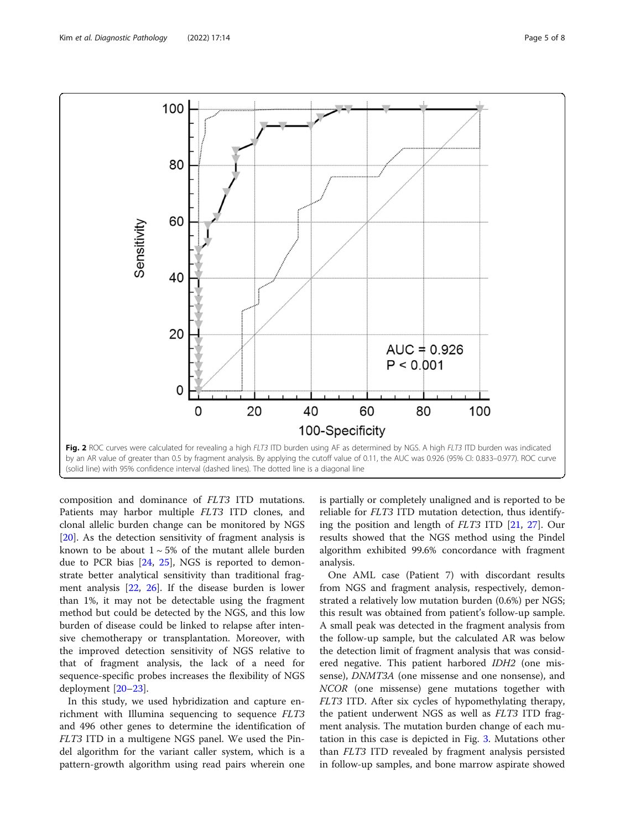<span id="page-4-0"></span>

by an AR value of greater than 0.5 by fragment analysis. By applying the cutoff value of 0.11, the AUC was 0.926 (95% CI: 0.833–0.977). ROC curve (solid line) with 95% confidence interval (dashed lines). The dotted line is a diagonal line

composition and dominance of FLT3 ITD mutations. Patients may harbor multiple FLT3 ITD clones, and clonal allelic burden change can be monitored by NGS [[20\]](#page-6-0). As the detection sensitivity of fragment analysis is known to be about  $1 \sim 5\%$  of the mutant allele burden due to PCR bias [\[24](#page-6-0), [25\]](#page-6-0), NGS is reported to demonstrate better analytical sensitivity than traditional fragment analysis [\[22](#page-6-0), [26](#page-6-0)]. If the disease burden is lower than 1%, it may not be detectable using the fragment method but could be detected by the NGS, and this low burden of disease could be linked to relapse after intensive chemotherapy or transplantation. Moreover, with the improved detection sensitivity of NGS relative to that of fragment analysis, the lack of a need for sequence-specific probes increases the flexibility of NGS deployment [[20](#page-6-0)–[23](#page-6-0)].

In this study, we used hybridization and capture enrichment with Illumina sequencing to sequence FLT3 and 496 other genes to determine the identification of FLT3 ITD in a multigene NGS panel. We used the Pindel algorithm for the variant caller system, which is a pattern-growth algorithm using read pairs wherein one

is partially or completely unaligned and is reported to be reliable for FLT3 ITD mutation detection, thus identifying the position and length of FLT3 ITD [[21](#page-6-0), [27](#page-7-0)]. Our results showed that the NGS method using the Pindel algorithm exhibited 99.6% concordance with fragment analysis.

One AML case (Patient 7) with discordant results from NGS and fragment analysis, respectively, demonstrated a relatively low mutation burden (0.6%) per NGS; this result was obtained from patient's follow-up sample. A small peak was detected in the fragment analysis from the follow-up sample, but the calculated AR was below the detection limit of fragment analysis that was considered negative. This patient harbored IDH2 (one missense), DNMT3A (one missense and one nonsense), and NCOR (one missense) gene mutations together with FLT3 ITD. After six cycles of hypomethylating therapy, the patient underwent NGS as well as FLT3 ITD fragment analysis. The mutation burden change of each mutation in this case is depicted in Fig. [3.](#page-5-0) Mutations other than FLT3 ITD revealed by fragment analysis persisted in follow-up samples, and bone marrow aspirate showed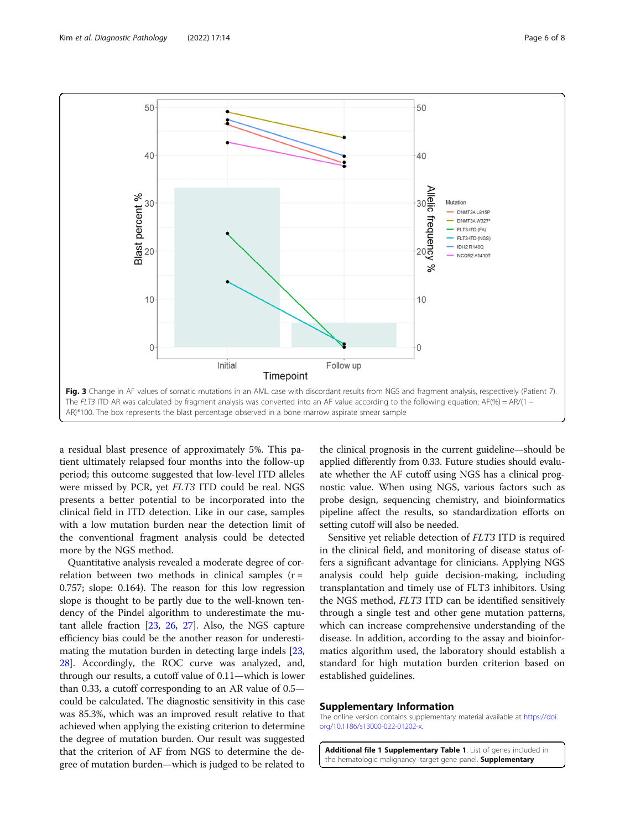<span id="page-5-0"></span>

a residual blast presence of approximately 5%. This patient ultimately relapsed four months into the follow-up period; this outcome suggested that low-level ITD alleles were missed by PCR, yet FLT3 ITD could be real. NGS presents a better potential to be incorporated into the clinical field in ITD detection. Like in our case, samples with a low mutation burden near the detection limit of the conventional fragment analysis could be detected more by the NGS method.

Quantitative analysis revealed a moderate degree of correlation between two methods in clinical samples  $(r =$ 0.757; slope: 0.164). The reason for this low regression slope is thought to be partly due to the well-known tendency of the Pindel algorithm to underestimate the mutant allele fraction [\[23,](#page-6-0) [26](#page-6-0), [27\]](#page-7-0). Also, the NGS capture efficiency bias could be the another reason for underestimating the mutation burden in detecting large indels [[23](#page-6-0), [28](#page-7-0)]. Accordingly, the ROC curve was analyzed, and, through our results, a cutoff value of 0.11—which is lower than 0.33, a cutoff corresponding to an AR value of 0.5 could be calculated. The diagnostic sensitivity in this case was 85.3%, which was an improved result relative to that achieved when applying the existing criterion to determine the degree of mutation burden. Our result was suggested that the criterion of AF from NGS to determine the degree of mutation burden—which is judged to be related to

the clinical prognosis in the current guideline—should be applied differently from 0.33. Future studies should evaluate whether the AF cutoff using NGS has a clinical prognostic value. When using NGS, various factors such as probe design, sequencing chemistry, and bioinformatics pipeline affect the results, so standardization efforts on setting cutoff will also be needed.

Sensitive yet reliable detection of FLT3 ITD is required in the clinical field, and monitoring of disease status offers a significant advantage for clinicians. Applying NGS analysis could help guide decision-making, including transplantation and timely use of FLT3 inhibitors. Using the NGS method, FLT3 ITD can be identified sensitively through a single test and other gene mutation patterns, which can increase comprehensive understanding of the disease. In addition, according to the assay and bioinformatics algorithm used, the laboratory should establish a standard for high mutation burden criterion based on established guidelines.

#### Supplementary Information

The online version contains supplementary material available at [https://doi.](https://doi.org/10.1186/s13000-022-01202-x) [org/10.1186/s13000-022-01202-x](https://doi.org/10.1186/s13000-022-01202-x).

Additional file 1 Supplementary Table 1. List of genes included in the hematologic malignancy-target gene panel. Supplementary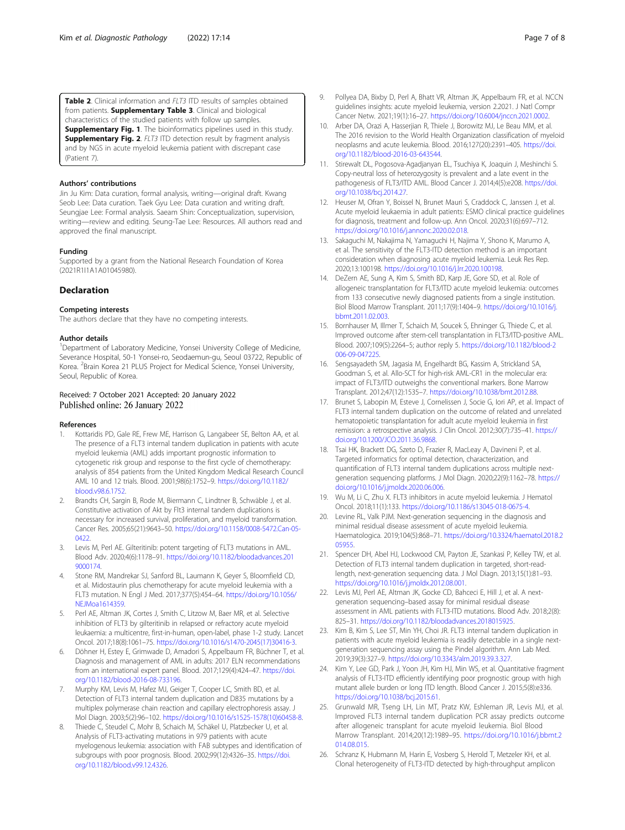<span id="page-6-0"></span>Table 2. Clinical information and FLT3 ITD results of samples obtained from patients. **Supplementary Table 3**. Clinical and biological characteristics of the studied patients with follow up samples. Supplementary Fig. 1. The bioinformatics pipelines used in this study. **Supplementary Fig. 2**. FLT3 ITD detection result by fragment analysis and by NGS in acute myeloid leukemia patient with discrepant case (Patient 7).

#### Authors' contributions

Jin Ju Kim: Data curation, formal analysis, writing—original draft. Kwang Seob Lee: Data curation. Taek Gyu Lee: Data curation and writing draft. Seungjae Lee: Formal analysis. Saeam Shin: Conceptualization, supervision, writing—review and editing. Seung-Tae Lee: Resources. All authors read and approved the final manuscript.

#### Funding

Supported by a grant from the National Research Foundation of Korea (2021R1I1A1A01045980).

# Declaration

### Competing interests

The authors declare that they have no competing interests.

#### Author details

<sup>1</sup>Department of Laboratory Medicine, Yonsei University College of Medicine, Severance Hospital, 50-1 Yonsei-ro, Seodaemun-gu, Seoul 03722, Republic of Korea. <sup>2</sup>Brain Korea 21 PLUS Project for Medical Science, Yonsei University, Seoul, Republic of Korea.

# Received: 7 October 2021 Accepted: 20 January 2022 Published online: 26 January 2022

#### References

- 1. Kottaridis PD, Gale RE, Frew ME, Harrison G, Langabeer SE, Belton AA, et al. The presence of a FLT3 internal tandem duplication in patients with acute myeloid leukemia (AML) adds important prognostic information to cytogenetic risk group and response to the first cycle of chemotherapy: analysis of 854 patients from the United Kingdom Medical Research Council AML 10 and 12 trials. Blood. 2001;98(6):1752–9. [https://doi.org/10.1182/](https://doi.org/10.1182/blood.v98.6.1752) [blood.v98.6.1752](https://doi.org/10.1182/blood.v98.6.1752).
- 2. Brandts CH, Sargin B, Rode M, Biermann C, Lindtner B, Schwäble J, et al. Constitutive activation of Akt by Flt3 internal tandem duplications is necessary for increased survival, proliferation, and myeloid transformation. Cancer Res. 2005;65(21):9643–50. [https://doi.org/10.1158/0008-5472.Can-05-](https://doi.org/10.1158/0008-5472.Can-05-0422) [0422](https://doi.org/10.1158/0008-5472.Can-05-0422)
- Levis M, Perl AE. Gilteritinib: potent targeting of FLT3 mutations in AML. Blood Adv. 2020;4(6):1178–91. [https://doi.org/10.1182/bloodadvances.201](https://doi.org/10.1182/bloodadvances.2019000174) [9000174.](https://doi.org/10.1182/bloodadvances.2019000174)
- 4. Stone RM, Mandrekar SJ, Sanford BL, Laumann K, Geyer S, Bloomfield CD, et al. Midostaurin plus chemotherapy for acute myeloid leukemia with a FLT3 mutation. N Engl J Med. 2017;377(5):454–64. [https://doi.org/10.1056/](https://doi.org/10.1056/NEJMoa1614359) [NEJMoa1614359](https://doi.org/10.1056/NEJMoa1614359).
- 5. Perl AE, Altman JK, Cortes J, Smith C, Litzow M, Baer MR, et al. Selective inhibition of FLT3 by gilteritinib in relapsed or refractory acute myeloid leukaemia: a multicentre, first-in-human, open-label, phase 1-2 study. Lancet Oncol. 2017;18(8):1061–75. [https://doi.org/10.1016/s1470-2045\(17\)30416-3.](https://doi.org/10.1016/s1470-2045(17)30416-3)
- 6. Döhner H, Estey E, Grimwade D, Amadori S, Appelbaum FR, Büchner T, et al. Diagnosis and management of AML in adults: 2017 ELN recommendations from an international expert panel. Blood. 2017;129(4):424–47. [https://doi.](https://doi.org/10.1182/blood-2016-08-733196) [org/10.1182/blood-2016-08-733196.](https://doi.org/10.1182/blood-2016-08-733196)
- 7. Murphy KM, Levis M, Hafez MJ, Geiger T, Cooper LC, Smith BD, et al. Detection of FLT3 internal tandem duplication and D835 mutations by a multiplex polymerase chain reaction and capillary electrophoresis assay. J Mol Diagn. 2003;5(2):96–102. [https://doi.org/10.1016/s1525-1578\(10\)60458-8.](https://doi.org/10.1016/s1525-1578(10)60458-8)
- Thiede C, Steudel C, Mohr B, Schaich M, Schäkel U, Platzbecker U, et al. Analysis of FLT3-activating mutations in 979 patients with acute myelogenous leukemia: association with FAB subtypes and identification of subgroups with poor prognosis. Blood. 2002;99(12):4326–35. [https://doi.](https://doi.org/10.1182/blood.v99.12.4326) [org/10.1182/blood.v99.12.4326.](https://doi.org/10.1182/blood.v99.12.4326)
- 9. Pollyea DA, Bixby D, Perl A, Bhatt VR, Altman JK, Appelbaum FR, et al. NCCN guidelines insights: acute myeloid leukemia, version 2.2021. J Natl Compr Cancer Netw. 2021;19(1):16–27. [https://doi.org/10.6004/jnccn.2021.0002.](https://doi.org/10.6004/jnccn.2021.0002)
- 10. Arber DA, Orazi A, Hasserjian R, Thiele J, Borowitz MJ, Le Beau MM, et al. The 2016 revision to the World Health Organization classification of myeloid neoplasms and acute leukemia. Blood. 2016;127(20):2391–405. [https://doi.](https://doi.org/10.1182/blood-2016-03-643544) [org/10.1182/blood-2016-03-643544.](https://doi.org/10.1182/blood-2016-03-643544)
- 11. Stirewalt DL, Pogosova-Agadjanyan EL, Tsuchiya K, Joaquin J, Meshinchi S. Copy-neutral loss of heterozygosity is prevalent and a late event in the pathogenesis of FLT3/ITD AML. Blood Cancer J. 2014;4(5):e208. [https://doi.](https://doi.org/10.1038/bcj.2014.27) [org/10.1038/bcj.2014.27](https://doi.org/10.1038/bcj.2014.27).
- 12. Heuser M, Ofran Y, Boissel N, Brunet Mauri S, Craddock C, Janssen J, et al. Acute myeloid leukaemia in adult patients: ESMO clinical practice guidelines for diagnosis, treatment and follow-up. Ann Oncol. 2020;31(6):697–712. <https://doi.org/10.1016/j.annonc.2020.02.018>.
- 13. Sakaguchi M, Nakajima N, Yamaguchi H, Najima Y, Shono K, Marumo A, et al. The sensitivity of the FLT3-ITD detection method is an important consideration when diagnosing acute myeloid leukemia. Leuk Res Rep. 2020;13:100198. <https://doi.org/10.1016/j.lrr.2020.100198>.
- 14. DeZern AE, Sung A, Kim S, Smith BD, Karp JE, Gore SD, et al. Role of allogeneic transplantation for FLT3/ITD acute myeloid leukemia: outcomes from 133 consecutive newly diagnosed patients from a single institution. Biol Blood Marrow Transplant. 2011;17(9):1404–9. [https://doi.org/10.1016/j.](https://doi.org/10.1016/j.bbmt.2011.02.003) [bbmt.2011.02.003.](https://doi.org/10.1016/j.bbmt.2011.02.003)
- 15. Bornhauser M, Illmer T, Schaich M, Soucek S, Ehninger G, Thiede C, et al. Improved outcome after stem-cell transplantation in FLT3/ITD-positive AML. Blood. 2007;109(5):2264–5; author reply 5. [https://doi.org/10.1182/blood-2](https://doi.org/10.1182/blood-2006-09-047225) [006-09-047225](https://doi.org/10.1182/blood-2006-09-047225).
- 16. Sengsayadeth SM, Jagasia M, Engelhardt BG, Kassim A, Strickland SA, Goodman S, et al. Allo-SCT for high-risk AML-CR1 in the molecular era: impact of FLT3/ITD outweighs the conventional markers. Bone Marrow Transplant. 2012;47(12):1535–7. [https://doi.org/10.1038/bmt.2012.88.](https://doi.org/10.1038/bmt.2012.88)
- 17. Brunet S, Labopin M, Esteve J, Cornelissen J, Socie G, Iori AP, et al. Impact of FLT3 internal tandem duplication on the outcome of related and unrelated hematopoietic transplantation for adult acute myeloid leukemia in first remission: a retrospective analysis. J Clin Oncol. 2012;30(7):735–41. [https://](https://doi.org/10.1200/JCO.2011.36.9868) [doi.org/10.1200/JCO.2011.36.9868](https://doi.org/10.1200/JCO.2011.36.9868).
- 18. Tsai HK, Brackett DG, Szeto D, Frazier R, MacLeay A, Davineni P, et al. Targeted informatics for optimal detection, characterization, and quantification of FLT3 internal tandem duplications across multiple nextgeneration sequencing platforms. J Mol Diagn. 2020;22(9):1162–78. [https://](https://doi.org/10.1016/j.jmoldx.2020.06.006) [doi.org/10.1016/j.jmoldx.2020.06.006.](https://doi.org/10.1016/j.jmoldx.2020.06.006)
- 19. Wu M, Li C, Zhu X. FLT3 inhibitors in acute myeloid leukemia. J Hematol Oncol. 2018;11(1):133. [https://doi.org/10.1186/s13045-018-0675-4.](https://doi.org/10.1186/s13045-018-0675-4)
- 20. Levine RL, Valk PJM. Next-generation sequencing in the diagnosis and minimal residual disease assessment of acute myeloid leukemia. Haematologica. 2019;104(5):868–71. [https://doi.org/10.3324/haematol.2018.2](https://doi.org/10.3324/haematol.2018.205955) [05955.](https://doi.org/10.3324/haematol.2018.205955)
- 21. Spencer DH, Abel HJ, Lockwood CM, Payton JE, Szankasi P, Kelley TW, et al. Detection of FLT3 internal tandem duplication in targeted, short-readlength, next-generation sequencing data. J Mol Diagn. 2013;15(1):81–93. <https://doi.org/10.1016/j.jmoldx.2012.08.001>.
- 22. Levis MJ, Perl AE, Altman JK, Gocke CD, Bahceci E, Hill J, et al. A nextgeneration sequencing–based assay for minimal residual disease assessment in AML patients with FLT3-ITD mutations. Blood Adv. 2018;2(8): 825–31. <https://doi.org/10.1182/bloodadvances.2018015925>.
- 23. Kim B, Kim S, Lee ST, Min YH, Choi JR. FLT3 internal tandem duplication in patients with acute myeloid leukemia is readily detectable in a single nextgeneration sequencing assay using the Pindel algorithm. Ann Lab Med. 2019;39(3):327–9. [https://doi.org/10.3343/alm.2019.39.3.327.](https://doi.org/10.3343/alm.2019.39.3.327)
- 24. Kim Y, Lee GD, Park J, Yoon JH, Kim HJ, Min WS, et al. Quantitative fragment analysis of FLT3-ITD efficiently identifying poor prognostic group with high mutant allele burden or long ITD length. Blood Cancer J. 2015;5(8):e336. <https://doi.org/10.1038/bcj.2015.61>.
- 25. Grunwald MR, Tseng LH, Lin MT, Pratz KW, Eshleman JR, Levis MJ, et al. Improved FLT3 internal tandem duplication PCR assay predicts outcome after allogeneic transplant for acute myeloid leukemia. Biol Blood Marrow Transplant. 2014;20(12):1989–95. [https://doi.org/10.1016/j.bbmt.2](https://doi.org/10.1016/j.bbmt.2014.08.015) [014.08.015](https://doi.org/10.1016/j.bbmt.2014.08.015).
- 26. Schranz K, Hubmann M, Harin E, Vosberg S, Herold T, Metzeler KH, et al. Clonal heterogeneity of FLT3-ITD detected by high-throughput amplicon